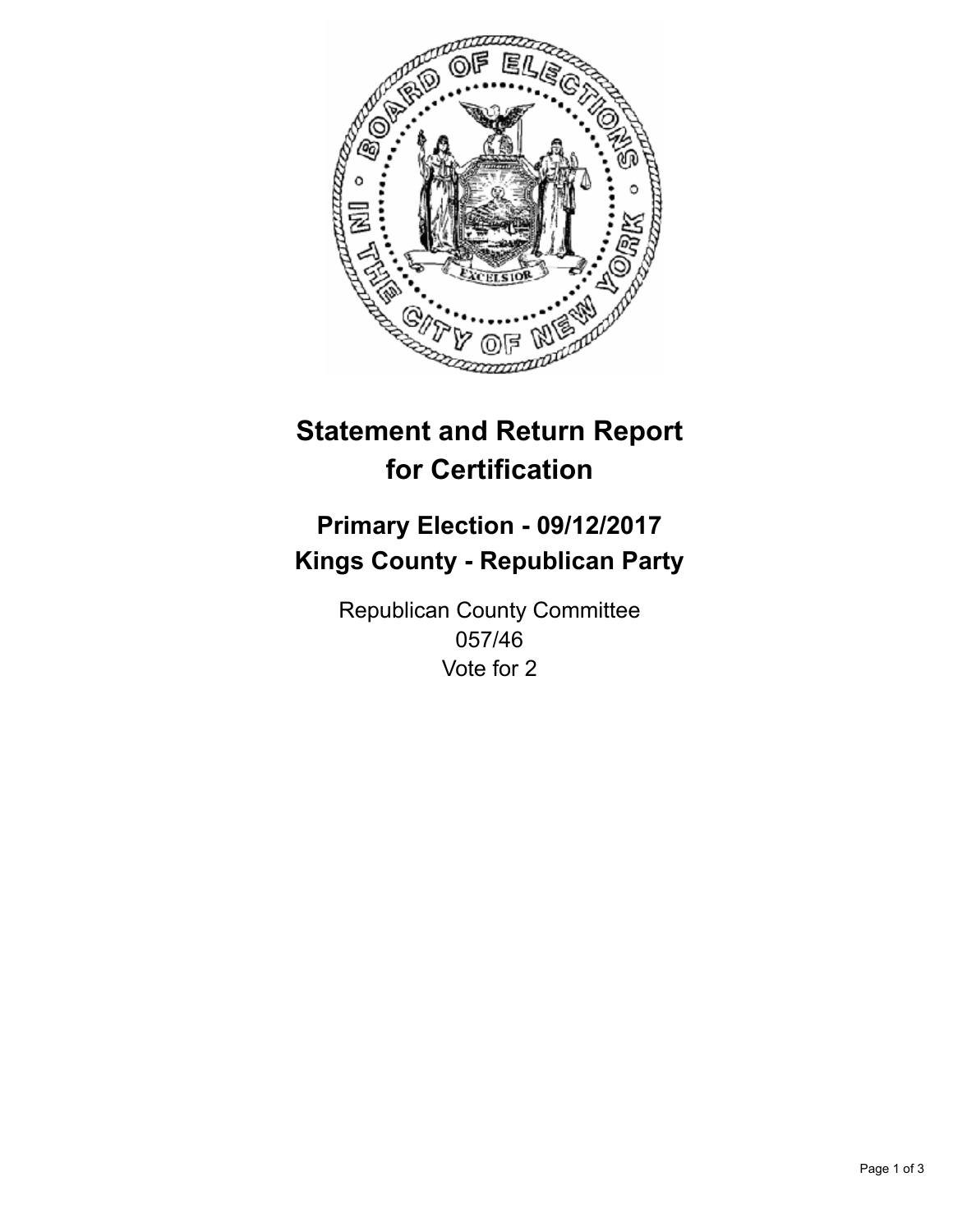

## **Statement and Return Report for Certification**

## **Primary Election - 09/12/2017 Kings County - Republican Party**

Republican County Committee 057/46 Vote for 2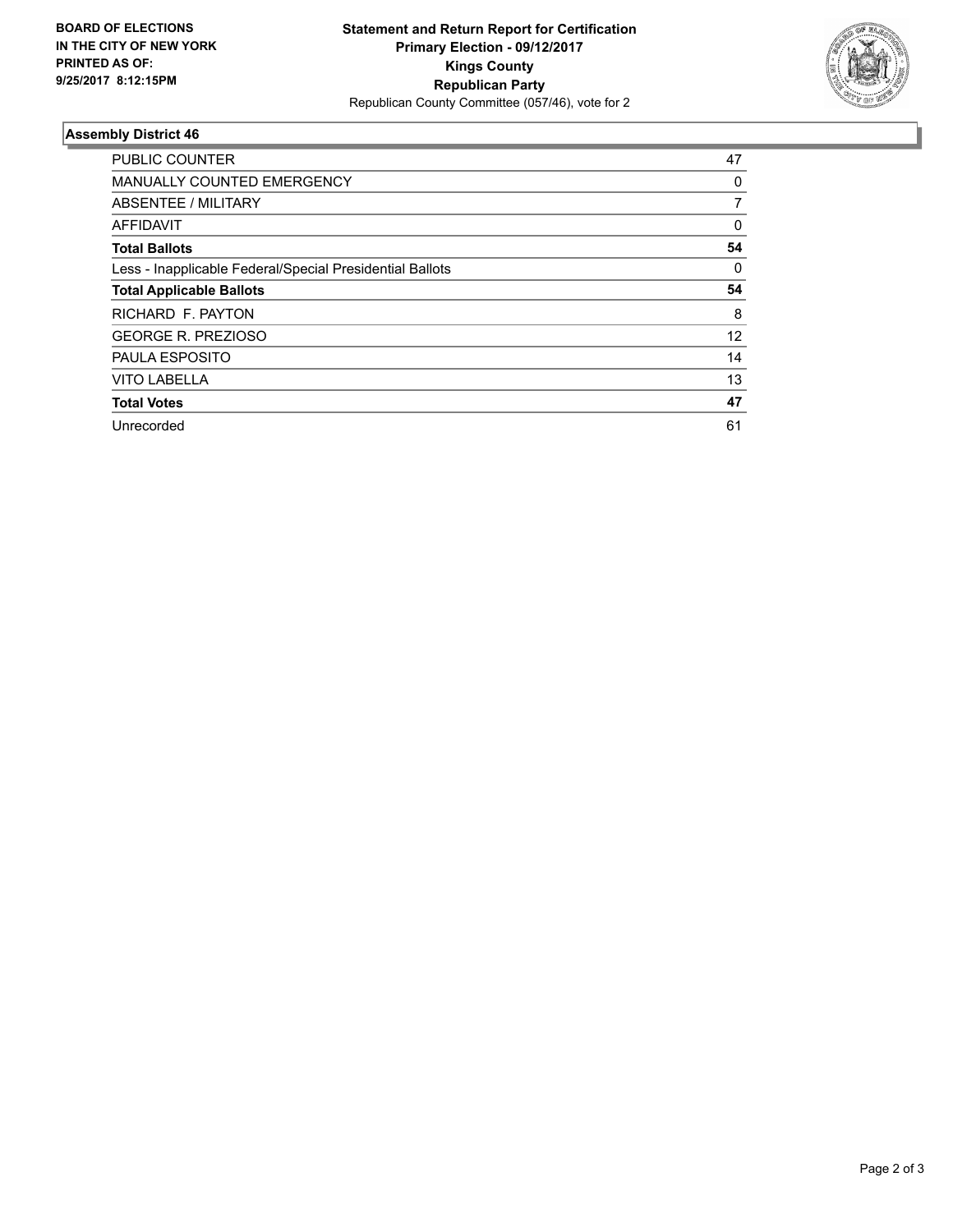

## **Assembly District 46**

| <b>PUBLIC COUNTER</b>                                    | 47 |
|----------------------------------------------------------|----|
| <b>MANUALLY COUNTED EMERGENCY</b>                        | 0  |
| ABSENTEE / MILITARY                                      | 7  |
| AFFIDAVIT                                                | 0  |
| <b>Total Ballots</b>                                     | 54 |
| Less - Inapplicable Federal/Special Presidential Ballots | 0  |
| <b>Total Applicable Ballots</b>                          | 54 |
| RICHARD F. PAYTON                                        | 8  |
| <b>GEORGE R. PREZIOSO</b>                                | 12 |
| <b>PAULA ESPOSITO</b>                                    | 14 |
| <b>VITO LABELLA</b>                                      | 13 |
| <b>Total Votes</b>                                       | 47 |
| Unrecorded                                               | 61 |